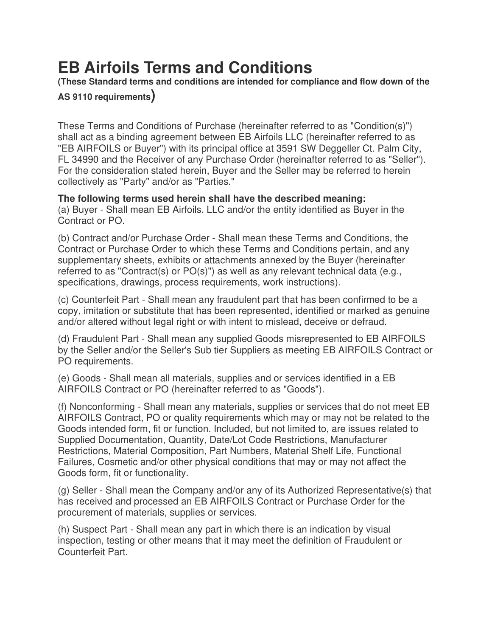## **EB Airfoils Terms and Conditions**

**(These Standard terms and conditions are intended for compliance and flow down of the** 

**AS 9110 requirements)** 

These Terms and Conditions of Purchase (hereinafter referred to as "Condition(s)") shall act as a binding agreement between EB Airfoils LLC (hereinafter referred to as "EB AIRFOILS or Buyer") with its principal office at 3591 SW Deggeller Ct. Palm City, FL 34990 and the Receiver of any Purchase Order (hereinafter referred to as "Seller"). For the consideration stated herein, Buyer and the Seller may be referred to herein collectively as "Party" and/or as "Parties."

## **The following terms used herein shall have the described meaning:**

(a) Buyer - Shall mean EB Airfoils. LLC and/or the entity identified as Buyer in the Contract or PO.

(b) Contract and/or Purchase Order - Shall mean these Terms and Conditions, the Contract or Purchase Order to which these Terms and Conditions pertain, and any supplementary sheets, exhibits or attachments annexed by the Buyer (hereinafter referred to as "Contract(s) or PO(s)") as well as any relevant technical data (e.g., specifications, drawings, process requirements, work instructions).

(c) Counterfeit Part - Shall mean any fraudulent part that has been confirmed to be a copy, imitation or substitute that has been represented, identified or marked as genuine and/or altered without legal right or with intent to mislead, deceive or defraud.

(d) Fraudulent Part - Shall mean any supplied Goods misrepresented to EB AIRFOILS by the Seller and/or the Seller's Sub tier Suppliers as meeting EB AIRFOILS Contract or PO requirements.

(e) Goods - Shall mean all materials, supplies and or services identified in a EB AIRFOILS Contract or PO (hereinafter referred to as "Goods").

(f) Nonconforming - Shall mean any materials, supplies or services that do not meet EB AIRFOILS Contract, PO or quality requirements which may or may not be related to the Goods intended form, fit or function. Included, but not limited to, are issues related to Supplied Documentation, Quantity, Date/Lot Code Restrictions, Manufacturer Restrictions, Material Composition, Part Numbers, Material Shelf Life, Functional Failures, Cosmetic and/or other physical conditions that may or may not affect the Goods form, fit or functionality.

(g) Seller - Shall mean the Company and/or any of its Authorized Representative(s) that has received and processed an EB AIRFOILS Contract or Purchase Order for the procurement of materials, supplies or services.

(h) Suspect Part - Shall mean any part in which there is an indication by visual inspection, testing or other means that it may meet the definition of Fraudulent or Counterfeit Part.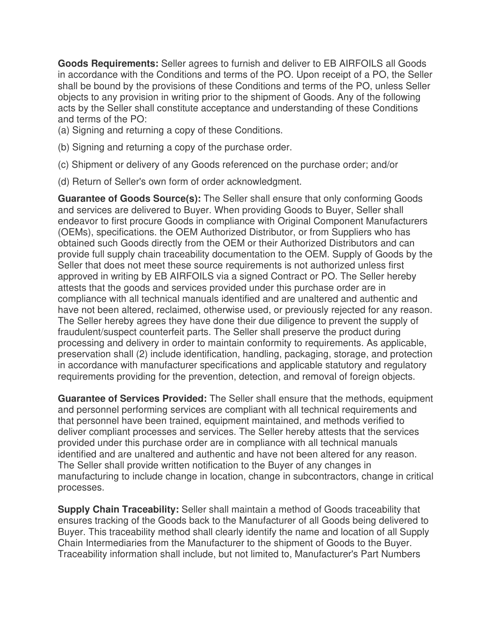**Goods Requirements:** Seller agrees to furnish and deliver to EB AIRFOILS all Goods in accordance with the Conditions and terms of the PO. Upon receipt of a PO, the Seller shall be bound by the provisions of these Conditions and terms of the PO, unless Seller objects to any provision in writing prior to the shipment of Goods. Any of the following acts by the Seller shall constitute acceptance and understanding of these Conditions and terms of the PO:

(a) Signing and returning a copy of these Conditions.

- (b) Signing and returning a copy of the purchase order.
- (c) Shipment or delivery of any Goods referenced on the purchase order; and/or
- (d) Return of Seller's own form of order acknowledgment.

**Guarantee of Goods Source(s):** The Seller shall ensure that only conforming Goods and services are delivered to Buyer. When providing Goods to Buyer, Seller shall endeavor to first procure Goods in compliance with Original Component Manufacturers (OEMs), specifications. the OEM Authorized Distributor, or from Suppliers who has obtained such Goods directly from the OEM or their Authorized Distributors and can provide full supply chain traceability documentation to the OEM. Supply of Goods by the Seller that does not meet these source requirements is not authorized unless first approved in writing by EB AIRFOILS via a signed Contract or PO. The Seller hereby attests that the goods and services provided under this purchase order are in compliance with all technical manuals identified and are unaltered and authentic and have not been altered, reclaimed, otherwise used, or previously rejected for any reason. The Seller hereby agrees they have done their due diligence to prevent the supply of fraudulent/suspect counterfeit parts. The Seller shall preserve the product during processing and delivery in order to maintain conformity to requirements. As applicable, preservation shall (2) include identification, handling, packaging, storage, and protection in accordance with manufacturer specifications and applicable statutory and regulatory requirements providing for the prevention, detection, and removal of foreign objects.

**Guarantee of Services Provided:** The Seller shall ensure that the methods, equipment and personnel performing services are compliant with all technical requirements and that personnel have been trained, equipment maintained, and methods verified to deliver compliant processes and services. The Seller hereby attests that the services provided under this purchase order are in compliance with all technical manuals identified and are unaltered and authentic and have not been altered for any reason. The Seller shall provide written notification to the Buyer of any changes in manufacturing to include change in location, change in subcontractors, change in critical processes.

**Supply Chain Traceability:** Seller shall maintain a method of Goods traceability that ensures tracking of the Goods back to the Manufacturer of all Goods being delivered to Buyer. This traceability method shall clearly identify the name and location of all Supply Chain Intermediaries from the Manufacturer to the shipment of Goods to the Buyer. Traceability information shall include, but not limited to, Manufacturer's Part Numbers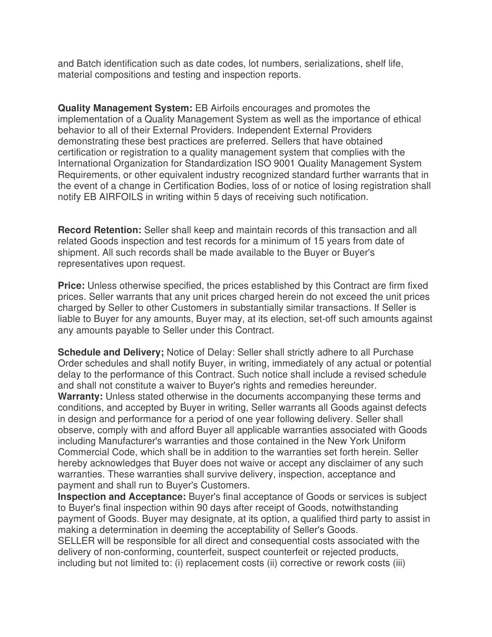and Batch identification such as date codes, lot numbers, serializations, shelf life, material compositions and testing and inspection reports.

**Quality Management System:** EB Airfoils encourages and promotes the implementation of a Quality Management System as well as the importance of ethical behavior to all of their External Providers. Independent External Providers demonstrating these best practices are preferred. Sellers that have obtained certification or registration to a quality management system that complies with the International Organization for Standardization ISO 9001 Quality Management System Requirements, or other equivalent industry recognized standard further warrants that in the event of a change in Certification Bodies, loss of or notice of losing registration shall notify EB AIRFOILS in writing within 5 days of receiving such notification.

**Record Retention:** Seller shall keep and maintain records of this transaction and all related Goods inspection and test records for a minimum of 15 years from date of shipment. All such records shall be made available to the Buyer or Buyer's representatives upon request.

**Price:** Unless otherwise specified, the prices established by this Contract are firm fixed prices. Seller warrants that any unit prices charged herein do not exceed the unit prices charged by Seller to other Customers in substantially similar transactions. If Seller is liable to Buyer for any amounts, Buyer may, at its election, set-off such amounts against any amounts payable to Seller under this Contract.

**Schedule and Delivery;** Notice of Delay: Seller shall strictly adhere to all Purchase Order schedules and shall notify Buyer, in writing, immediately of any actual or potential delay to the performance of this Contract. Such notice shall include a revised schedule and shall not constitute a waiver to Buyer's rights and remedies hereunder. **Warranty:** Unless stated otherwise in the documents accompanying these terms and conditions, and accepted by Buyer in writing, Seller warrants all Goods against defects in design and performance for a period of one year following delivery. Seller shall observe, comply with and afford Buyer all applicable warranties associated with Goods including Manufacturer's warranties and those contained in the New York Uniform Commercial Code, which shall be in addition to the warranties set forth herein. Seller hereby acknowledges that Buyer does not waive or accept any disclaimer of any such warranties. These warranties shall survive delivery, inspection, acceptance and payment and shall run to Buyer's Customers.

**Inspection and Acceptance:** Buyer's final acceptance of Goods or services is subject to Buyer's final inspection within 90 days after receipt of Goods, notwithstanding payment of Goods. Buyer may designate, at its option, a qualified third party to assist in making a determination in deeming the acceptability of Seller's Goods.

SELLER will be responsible for all direct and consequential costs associated with the delivery of non-conforming, counterfeit, suspect counterfeit or rejected products, including but not limited to: (i) replacement costs (ii) corrective or rework costs (iii)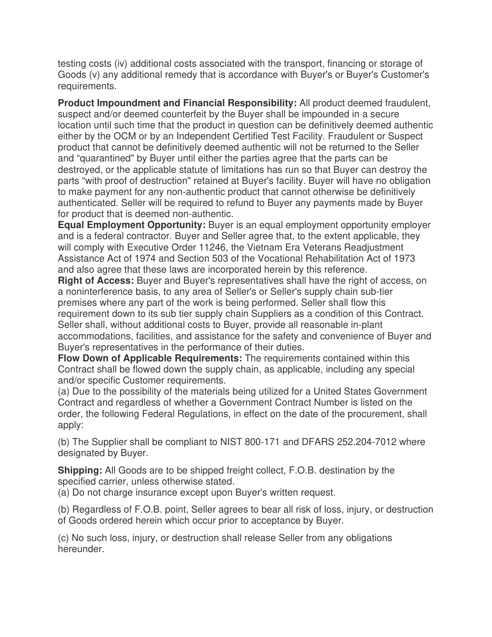testing costs (iv) additional costs associated with the transport, financing or storage of Goods (v) any additional remedy that is accordance with Buyer's or Buyer's Customer's requirements.

**Product Impoundment and Financial Responsibility:** All product deemed fraudulent, suspect and/or deemed counterfeit by the Buyer shall be impounded in a secure location until such time that the product in question can be definitively deemed authentic either by the OCM or by an Independent Certified Test Facility. Fraudulent or Suspect product that cannot be definitively deemed authentic will not be returned to the Seller and "quarantined" by Buyer until either the parties agree that the parts can be destroyed, or the applicable statute of limitations has run so that Buyer can destroy the parts "with proof of destruction" retained at Buyer's facility. Buyer will have no obligation to make payment for any non-authentic product that cannot otherwise be definitively authenticated. Seller will be required to refund to Buyer any payments made by Buyer for product that is deemed non-authentic.

**Equal Employment Opportunity:** Buyer is an equal employment opportunity employer and is a federal contractor. Buyer and Seller agree that, to the extent applicable, they will comply with Executive Order 11246, the Vietnam Era Veterans Readjustment Assistance Act of 1974 and Section 503 of the Vocational Rehabilitation Act of 1973 and also agree that these laws are incorporated herein by this reference.

**Right of Access:** Buyer and Buyer's representatives shall have the right of access, on a noninterference basis, to any area of Seller's or Seller's supply chain sub-tier premises where any part of the work is being performed. Seller shall flow this requirement down to its sub tier supply chain Suppliers as a condition of this Contract. Seller shall, without additional costs to Buyer, provide all reasonable in-plant accommodations, facilities, and assistance for the safety and convenience of Buyer and Buyer's representatives in the performance of their duties.

**Flow Down of Applicable Requirements:** The requirements contained within this Contract shall be flowed down the supply chain, as applicable, including any special and/or specific Customer requirements.

(a) Due to the possibility of the materials being utilized for a United States Government Contract and regardless of whether a Government Contract Number is listed on the order, the following Federal Regulations, in effect on the date of the procurement, shall apply:

(b) The Supplier shall be compliant to NIST 800-171 and DFARS 252.204-7012 where designated by Buyer.

**Shipping:** All Goods are to be shipped freight collect, F.O.B. destination by the specified carrier, unless otherwise stated.

(a) Do not charge insurance except upon Buyer's written request.

(b) Regardless of F.O.B. point, Seller agrees to bear all risk of loss, injury, or destruction of Goods ordered herein which occur prior to acceptance by Buyer.

(c) No such loss, injury, or destruction shall release Seller from any obligations hereunder.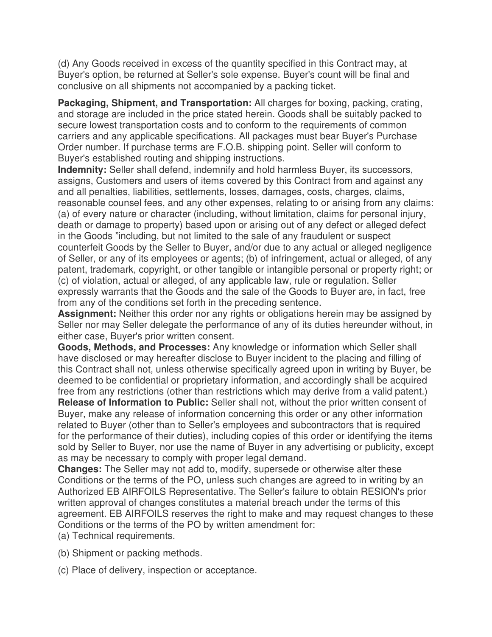(d) Any Goods received in excess of the quantity specified in this Contract may, at Buyer's option, be returned at Seller's sole expense. Buyer's count will be final and conclusive on all shipments not accompanied by a packing ticket.

**Packaging, Shipment, and Transportation:** All charges for boxing, packing, crating, and storage are included in the price stated herein. Goods shall be suitably packed to secure lowest transportation costs and to conform to the requirements of common carriers and any applicable specifications. All packages must bear Buyer's Purchase Order number. If purchase terms are F.O.B. shipping point. Seller will conform to Buyer's established routing and shipping instructions.

**Indemnity:** Seller shall defend, indemnify and hold harmless Buyer, its successors, assigns, Customers and users of items covered by this Contract from and against any and all penalties, liabilities, settlements, losses, damages, costs, charges, claims, reasonable counsel fees, and any other expenses, relating to or arising from any claims: (a) of every nature or character (including, without limitation, claims for personal injury, death or damage to property) based upon or arising out of any defect or alleged defect in the Goods "including, but not limited to the sale of any fraudulent or suspect counterfeit Goods by the Seller to Buyer, and/or due to any actual or alleged negligence of Seller, or any of its employees or agents; (b) of infringement, actual or alleged, of any patent, trademark, copyright, or other tangible or intangible personal or property right; or (c) of violation, actual or alleged, of any applicable law, rule or regulation. Seller expressly warrants that the Goods and the sale of the Goods to Buyer are, in fact, free from any of the conditions set forth in the preceding sentence.

**Assignment:** Neither this order nor any rights or obligations herein may be assigned by Seller nor may Seller delegate the performance of any of its duties hereunder without, in either case, Buyer's prior written consent.

**Goods, Methods, and Processes:** Any knowledge or information which Seller shall have disclosed or may hereafter disclose to Buyer incident to the placing and filling of this Contract shall not, unless otherwise specifically agreed upon in writing by Buyer, be deemed to be confidential or proprietary information, and accordingly shall be acquired free from any restrictions (other than restrictions which may derive from a valid patent.)

**Release of Information to Public:** Seller shall not, without the prior written consent of Buyer, make any release of information concerning this order or any other information related to Buyer (other than to Seller's employees and subcontractors that is required for the performance of their duties), including copies of this order or identifying the items sold by Seller to Buyer, nor use the name of Buyer in any advertising or publicity, except as may be necessary to comply with proper legal demand.

**Changes:** The Seller may not add to, modify, supersede or otherwise alter these Conditions or the terms of the PO, unless such changes are agreed to in writing by an Authorized EB AIRFOILS Representative. The Seller's failure to obtain RESION's prior written approval of changes constitutes a material breach under the terms of this agreement. EB AIRFOILS reserves the right to make and may request changes to these Conditions or the terms of the PO by written amendment for:

(a) Technical requirements.

- (b) Shipment or packing methods.
- (c) Place of delivery, inspection or acceptance.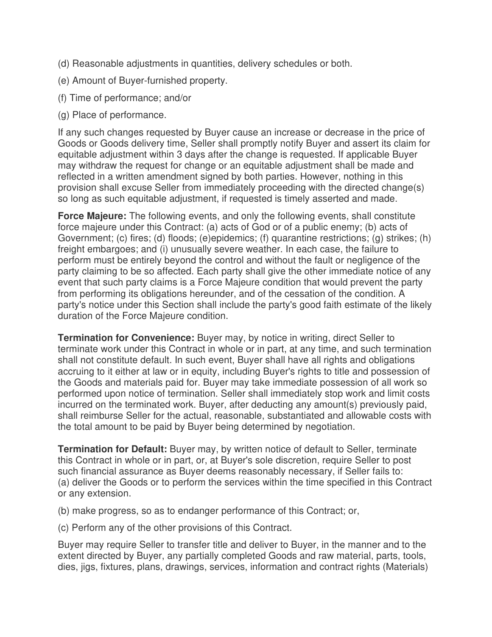- (d) Reasonable adjustments in quantities, delivery schedules or both.
- (e) Amount of Buyer-furnished property.
- (f) Time of performance; and/or
- (g) Place of performance.

If any such changes requested by Buyer cause an increase or decrease in the price of Goods or Goods delivery time, Seller shall promptly notify Buyer and assert its claim for equitable adjustment within 3 days after the change is requested. If applicable Buyer may withdraw the request for change or an equitable adjustment shall be made and reflected in a written amendment signed by both parties. However, nothing in this provision shall excuse Seller from immediately proceeding with the directed change(s) so long as such equitable adjustment, if requested is timely asserted and made.

**Force Majeure:** The following events, and only the following events, shall constitute force majeure under this Contract: (a) acts of God or of a public enemy; (b) acts of Government; (c) fires; (d) floods; (e)epidemics; (f) quarantine restrictions; (g) strikes; (h) freight embargoes; and (i) unusually severe weather. In each case, the failure to perform must be entirely beyond the control and without the fault or negligence of the party claiming to be so affected. Each party shall give the other immediate notice of any event that such party claims is a Force Majeure condition that would prevent the party from performing its obligations hereunder, and of the cessation of the condition. A party's notice under this Section shall include the party's good faith estimate of the likely duration of the Force Majeure condition.

**Termination for Convenience:** Buyer may, by notice in writing, direct Seller to terminate work under this Contract in whole or in part, at any time, and such termination shall not constitute default. In such event, Buyer shall have all rights and obligations accruing to it either at law or in equity, including Buyer's rights to title and possession of the Goods and materials paid for. Buyer may take immediate possession of all work so performed upon notice of termination. Seller shall immediately stop work and limit costs incurred on the terminated work. Buyer, after deducting any amount(s) previously paid, shall reimburse Seller for the actual, reasonable, substantiated and allowable costs with the total amount to be paid by Buyer being determined by negotiation.

**Termination for Default:** Buyer may, by written notice of default to Seller, terminate this Contract in whole or in part, or, at Buyer's sole discretion, require Seller to post such financial assurance as Buyer deems reasonably necessary, if Seller fails to: (a) deliver the Goods or to perform the services within the time specified in this Contract or any extension.

(b) make progress, so as to endanger performance of this Contract; or,

(c) Perform any of the other provisions of this Contract.

Buyer may require Seller to transfer title and deliver to Buyer, in the manner and to the extent directed by Buyer, any partially completed Goods and raw material, parts, tools, dies, jigs, fixtures, plans, drawings, services, information and contract rights (Materials)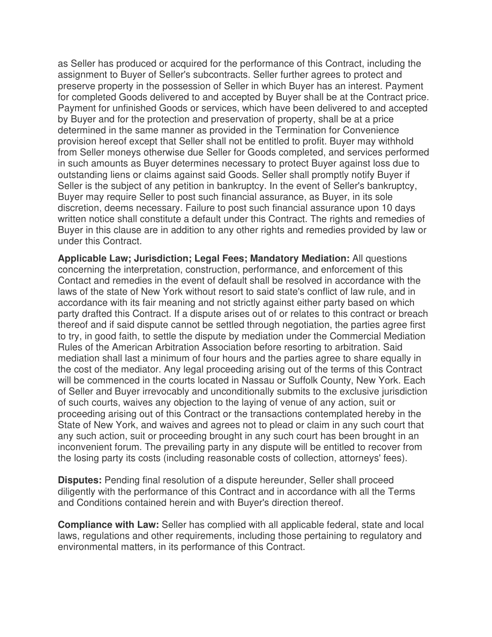as Seller has produced or acquired for the performance of this Contract, including the assignment to Buyer of Seller's subcontracts. Seller further agrees to protect and preserve property in the possession of Seller in which Buyer has an interest. Payment for completed Goods delivered to and accepted by Buyer shall be at the Contract price. Payment for unfinished Goods or services, which have been delivered to and accepted by Buyer and for the protection and preservation of property, shall be at a price determined in the same manner as provided in the Termination for Convenience provision hereof except that Seller shall not be entitled to profit. Buyer may withhold from Seller moneys otherwise due Seller for Goods completed, and services performed in such amounts as Buyer determines necessary to protect Buyer against loss due to outstanding liens or claims against said Goods. Seller shall promptly notify Buyer if Seller is the subject of any petition in bankruptcy. In the event of Seller's bankruptcy, Buyer may require Seller to post such financial assurance, as Buyer, in its sole discretion, deems necessary. Failure to post such financial assurance upon 10 days written notice shall constitute a default under this Contract. The rights and remedies of Buyer in this clause are in addition to any other rights and remedies provided by law or under this Contract.

**Applicable Law; Jurisdiction; Legal Fees; Mandatory Mediation:** All questions concerning the interpretation, construction, performance, and enforcement of this Contact and remedies in the event of default shall be resolved in accordance with the laws of the state of New York without resort to said state's conflict of law rule, and in accordance with its fair meaning and not strictly against either party based on which party drafted this Contract. If a dispute arises out of or relates to this contract or breach thereof and if said dispute cannot be settled through negotiation, the parties agree first to try, in good faith, to settle the dispute by mediation under the Commercial Mediation Rules of the American Arbitration Association before resorting to arbitration. Said mediation shall last a minimum of four hours and the parties agree to share equally in the cost of the mediator. Any legal proceeding arising out of the terms of this Contract will be commenced in the courts located in Nassau or Suffolk County, New York. Each of Seller and Buyer irrevocably and unconditionally submits to the exclusive jurisdiction of such courts, waives any objection to the laying of venue of any action, suit or proceeding arising out of this Contract or the transactions contemplated hereby in the State of New York, and waives and agrees not to plead or claim in any such court that any such action, suit or proceeding brought in any such court has been brought in an inconvenient forum. The prevailing party in any dispute will be entitled to recover from the losing party its costs (including reasonable costs of collection, attorneys' fees).

**Disputes:** Pending final resolution of a dispute hereunder, Seller shall proceed diligently with the performance of this Contract and in accordance with all the Terms and Conditions contained herein and with Buyer's direction thereof.

**Compliance with Law:** Seller has complied with all applicable federal, state and local laws, regulations and other requirements, including those pertaining to regulatory and environmental matters, in its performance of this Contract.